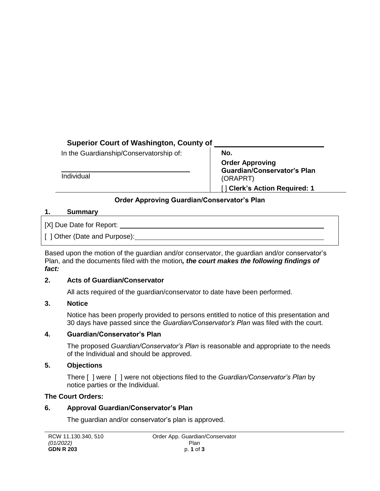# **Superior Court of Washington, County of**

In the Guardianship/Conservatorship of:

Individual

**No. Order Approving Guardian/Conservator's Plan** (ORAPRT) [ ] **Clerk's Action Required: 1**

# **Order Approving Guardian/Conservator's Plan**

### **1. Summary**

[X] Due Date for Report:

[ ] Other (Date and Purpose):

Based upon the motion of the guardian and/or conservator, the guardian and/or conservator's Plan, and the documents filed with the motion*, the court makes the following findings of fact:*

### **2. Acts of Guardian/Conservator**

All acts required of the guardian/conservator to date have been performed.

## **3. Notice**

Notice has been properly provided to persons entitled to notice of this presentation and 30 days have passed since the *Guardian/Conservator's Plan* was filed with the court.

## **4. Guardian/Conservator's Plan**

The proposed *Guardian/Conservator's Plan* is reasonable and appropriate to the needs of the Individual and should be approved.

## **5. Objections**

There [ ] were [ ] were not objections filed to the *Guardian/Conservator's Plan* by notice parties or the Individual.

## **The Court Orders:**

## **6. Approval Guardian/Conservator's Plan**

The guardian and/or conservator's plan is approved.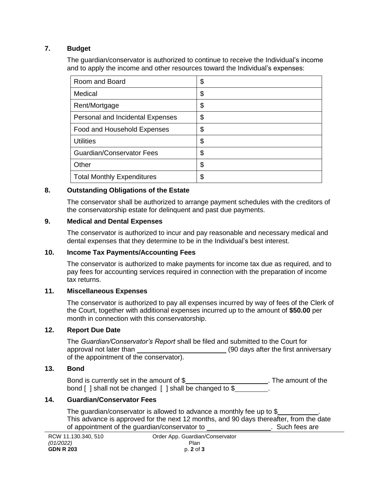### **7. Budget**

The guardian/conservator is authorized to continue to receive the Individual's income and to apply the income and other resources toward the Individual's expenses:

| Room and Board                    | \$ |
|-----------------------------------|----|
| Medical                           | \$ |
| Rent/Mortgage                     | \$ |
| Personal and Incidental Expenses  | \$ |
| Food and Household Expenses       | \$ |
| <b>Utilities</b>                  | \$ |
| <b>Guardian/Conservator Fees</b>  | \$ |
| Other                             | \$ |
| <b>Total Monthly Expenditures</b> | \$ |

### **8. Outstanding Obligations of the Estate**

The conservator shall be authorized to arrange payment schedules with the creditors of the conservatorship estate for delinquent and past due payments.

### **9. Medical and Dental Expenses**

The conservator is authorized to incur and pay reasonable and necessary medical and dental expenses that they determine to be in the Individual's best interest.

### **10. Income Tax Payments/Accounting Fees**

The conservator is authorized to make payments for income tax due as required, and to pay fees for accounting services required in connection with the preparation of income tax returns.

### **11. Miscellaneous Expenses**

The conservator is authorized to pay all expenses incurred by way of fees of the Clerk of the Court, together with additional expenses incurred up to the amount of **\$50.00** per month in connection with this conservatorship.

### **12. Report Due Date**

The *Guardian/Conservator's Report* shall be filed and submitted to the Court for approval not later than (90 days after the first anniversary of the appointment of the conservator).

#### **13. Bond**

Bond is currently set in the amount of \$\_\_\_\_\_\_\_\_\_\_\_\_\_\_\_\_\_\_\_\_\_\_\_\_\_\_. The amount of the bond [ ] shall not be changed [ ] shall be changed to \$

### **14. Guardian/Conservator Fees**

The guardian/conservator is allowed to advance a monthly fee up to  $$$ This advance is approved for the next 12 months, and 90 days thereafter, from the date of appointment of the quardian/conservator to **.** Such fees are